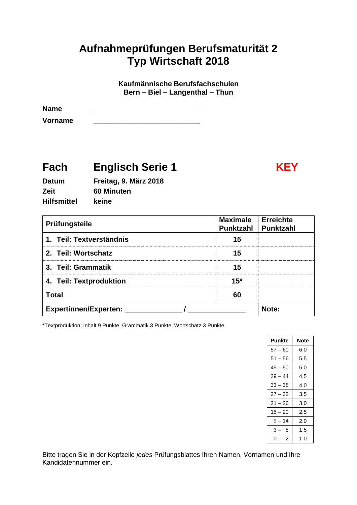# **Aufnahmeprüfungen Berufsmaturität 2 Typ Wirtschaft 2018**

**Kaufmännische Berufsfachschulen Bern – Biel – Langenthal – Thun**

Name

**Vorname** \_\_\_\_\_\_\_\_\_\_\_\_\_\_\_\_\_\_\_\_\_\_\_\_\_\_\_\_\_\_\_\_\_\_\_\_\_\_\_\_

# **Fach Englisch Serie 1 KEY**

| <b>Datum</b>       | Freitag, 9. März 2018 |
|--------------------|-----------------------|
| Zeit               | 60 Minuten            |
| <b>Hilfsmittel</b> | keine                 |

| Prüfungsteile                | <b>Maximale</b><br><b>Punktzahl</b> | <b>Erreichte</b><br><b>Punktzahl</b> |
|------------------------------|-------------------------------------|--------------------------------------|
| 1. Teil: Textverständnis     | 15                                  |                                      |
| 2. Teil: Wortschatz          | 15                                  |                                      |
| 3. Teil: Grammatik           | 15                                  |                                      |
| 4. Teil: Textproduktion      | $15*$                               |                                      |
| <b>Total</b>                 | 60                                  |                                      |
| <b>Expertinnen/Experten:</b> |                                     | Note:                                |

\*Textproduktion: Inhalt 9 Punkte, Grammatik 3 Punkte, Wortschatz 3 Punkte

| Punkte    | Note |
|-----------|------|
| $57 - 60$ | 6.0  |
| $51 - 56$ | 5.5  |
| 45 – 50   | 5.0  |
| $39 - 44$ | 4.5  |
| $33 - 38$ | 4.0  |
| $27 - 32$ | 3.5  |
| $21 - 26$ | 3.0  |
| $15 - 20$ | 2.5  |
| $9 - 14$  | 2.0  |
| 3 –<br>8  | 1.5  |
| $0 - 2$   | 1.0  |

Bitte tragen Sie in der Kopfzeile *jedes* Prüfungsblattes Ihren Namen, Vornamen und Ihre Kandidatennummer ein.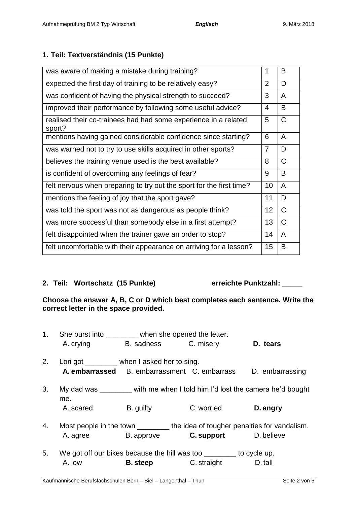## **1. Teil: Textverständnis (15 Punkte)**

| was aware of making a mistake during training?                            |    |                |  |
|---------------------------------------------------------------------------|----|----------------|--|
| expected the first day of training to be relatively easy?                 |    |                |  |
| was confident of having the physical strength to succeed?                 | 3  | A              |  |
| improved their performance by following some useful advice?               | 4  | B              |  |
| realised their co-trainees had had some experience in a related<br>sport? | 5  | $\mathsf C$    |  |
| mentions having gained considerable confidence since starting?            | 6  | A              |  |
| was warned not to try to use skills acquired in other sports?             | 7  | D              |  |
| believes the training venue used is the best available?                   | 8  | $\mathsf{C}$   |  |
| is confident of overcoming any feelings of fear?                          | 9  | B              |  |
| felt nervous when preparing to try out the sport for the first time?      | 10 | $\overline{A}$ |  |
| mentions the feeling of joy that the sport gave?                          | 11 | D              |  |
| was told the sport was not as dangerous as people think?                  | 12 | $\mathsf{C}$   |  |
| was more successful than somebody else in a first attempt?                |    |                |  |
| felt disappointed when the trainer gave an order to stop?                 |    |                |  |
| felt uncomfortable with their appearance on arriving for a lesson?        |    |                |  |

## **2. Teil: Wortschatz (15 Punkte) erreichte Punktzahl: \_\_\_\_\_**

#### **Choose the answer A, B, C or D which best completes each sentence. Write the correct letter in the space provided.**

| 1. |                                              | She burst into ________ when she opened the letter. |                                                                                |                 |  |
|----|----------------------------------------------|-----------------------------------------------------|--------------------------------------------------------------------------------|-----------------|--|
|    | A. crying                                    |                                                     | B. sadness C. misery                                                           | D. tears        |  |
| 2. | Lori got _________ when I asked her to sing. |                                                     |                                                                                |                 |  |
|    |                                              |                                                     | A. embarrassed B. embarrassment C. embarrass                                   | D. embarrassing |  |
| 3. | me.                                          |                                                     | My dad was with me when I told him I'd lost the camera he'd bought             |                 |  |
|    | A. scared                                    | B. guilty                                           | C. worried                                                                     | D. angry        |  |
| 4. |                                              |                                                     | Most people in the town _________ the idea of tougher penalties for vandalism. |                 |  |
|    | A. agree                                     | B. approve                                          | <b>C. support</b> D. believe                                                   |                 |  |
| 5. |                                              |                                                     | We got off our bikes because the hill was too <u>second to cycle</u> up.       |                 |  |
|    | A. low                                       |                                                     | <b>B. steep C.</b> straight                                                    | D. tall         |  |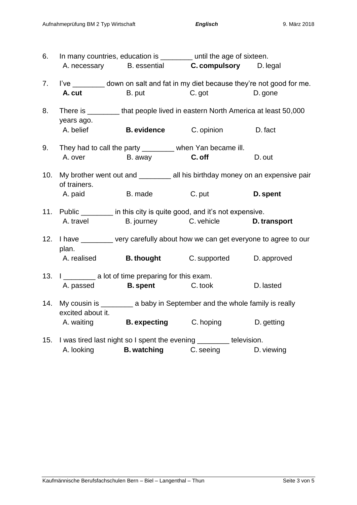| 6.  |                               |                                                                                                 | In many countries, education is _________ until the age of sixteen.                                                          |           |
|-----|-------------------------------|-------------------------------------------------------------------------------------------------|------------------------------------------------------------------------------------------------------------------------------|-----------|
|     |                               |                                                                                                 | A. necessary B. essential C. compulsory D. legal                                                                             |           |
| 7.  | A. cut                        |                                                                                                 | I've __________ down on salt and fat in my diet because they're not good for me.<br>B. put C. got                            | D. gone   |
| 8.  | years ago.                    |                                                                                                 | There is __________ that people lived in eastern North America at least 50,000                                               |           |
|     |                               |                                                                                                 | A. belief <b>B. evidence C. opinion D. fact</b>                                                                              |           |
| 9.  | A. over                       |                                                                                                 | They had to call the party _________ when Yan became ill.<br>B. away <b>C. off</b>                                           | D. out    |
| 10. | of trainers.                  |                                                                                                 | My brother went out and _________ all his birthday money on an expensive pair                                                |           |
|     |                               | A. paid B. made                                                                                 | C. put                                                                                                                       | D. spent  |
|     | A. travel                     |                                                                                                 | 11. Public ________ in this city is quite good, and it's not expensive.<br>B. journey C. vehicle <b>D. transport</b>         |           |
|     | plan.                         |                                                                                                 | 12. I have _______ very carefully about how we can get everyone to agree to our                                              |           |
|     | A. realised <b>B. thought</b> |                                                                                                 | C. supported D. approved                                                                                                     |           |
|     |                               | 13. I _____________ a lot of time preparing for this exam.<br>A. passed <b>B. spent C. took</b> |                                                                                                                              | D. lasted |
| 14. | excited about it.             |                                                                                                 | My cousin is ___________ a baby in September and the whole family is really                                                  |           |
|     |                               |                                                                                                 | A. waiting <b>B. expecting</b> C. hoping <b>D. getting</b>                                                                   |           |
|     |                               |                                                                                                 | 15. I was tired last night so I spent the evening ________ television.<br>A. looking <b>B. watching C. seeing D. viewing</b> |           |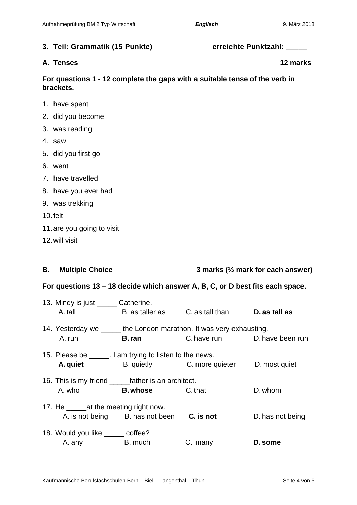| 3. Teil: Grammatik (15 Punkte)<br>erreichte Punktzahl: |  |
|--------------------------------------------------------|--|
|--------------------------------------------------------|--|

#### **A. Tenses 12 marks**

### **For questions 1 - 12 complete the gaps with a suitable tense of the verb in brackets.**

- 1. have spent
- 2. did you become
- 3. was reading
- 4. saw
- 5. did you first go
- 6. went
- 7. have travelled
- 8. have you ever had
- 9. was trekking
- 10.felt
- 11.are you going to visit
- 12.will visit

#### **B. Multiple Choice 3 marks (½ mark for each answer)**

#### **For questions 13 – 18 decide which answer A, B, C, or D best fits each space.**

| 13. Mindy is just ______ Catherine.                      |                                           |                                                                      |                  |
|----------------------------------------------------------|-------------------------------------------|----------------------------------------------------------------------|------------------|
| A. tall                                                  |                                           | B. as taller as C. as tall than D. as tall as                        |                  |
|                                                          |                                           | 14. Yesterday we ______ the London marathon. It was very exhausting. |                  |
| A. run                                                   | <b>B</b> . ran                            | C. have run D. have been run                                         |                  |
| 15. Please be ______. I am trying to listen to the news. |                                           |                                                                      |                  |
| A. quiet                                                 |                                           | B. quietly C. more quieter D. most quiet                             |                  |
|                                                          |                                           |                                                                      |                  |
| A. who                                                   | <b>B. whose C.</b> that                   |                                                                      | D. whom          |
| 17. He _edia the meeting right now.                      |                                           |                                                                      |                  |
|                                                          | A. is not being B. has not been C. is not |                                                                      | D. has not being |
| 18. Would you like ______ coffee?                        |                                           |                                                                      |                  |
| A. any                                                   | <b>Example 1</b> B. much                  | C. many                                                              | D. some          |